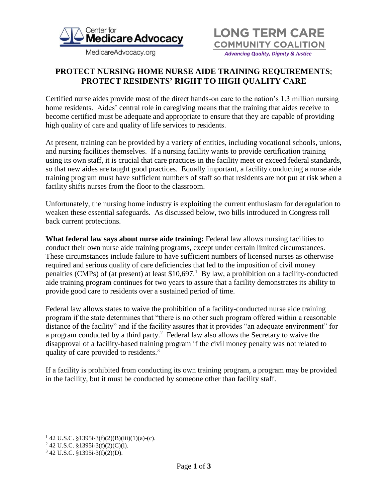

MedicareAdvocacy.org



## **PROTECT NURSING HOME NURSE AIDE TRAINING REQUIREMENTS**; **PROTECT RESIDENTS' RIGHT TO HIGH QUALITY CARE**

Certified nurse aides provide most of the direct hands-on care to the nation's 1.3 million nursing home residents. Aides' central role in caregiving means that the training that aides receive to become certified must be adequate and appropriate to ensure that they are capable of providing high quality of care and quality of life services to residents.

At present, training can be provided by a variety of entities, including vocational schools, unions, and nursing facilities themselves. If a nursing facility wants to provide certification training using its own staff, it is crucial that care practices in the facility meet or exceed federal standards, so that new aides are taught good practices. Equally important, a facility conducting a nurse aide training program must have sufficient numbers of staff so that residents are not put at risk when a facility shifts nurses from the floor to the classroom.

Unfortunately, the nursing home industry is exploiting the current enthusiasm for deregulation to weaken these essential safeguards. As discussed below, two bills introduced in Congress roll back current protections.

**What federal law says about nurse aide training:** Federal law allows nursing facilities to conduct their own nurse aide training programs, except under certain limited circumstances. These circumstances include failure to have sufficient numbers of licensed nurses as otherwise required and serious quality of care deficiencies that led to the imposition of civil money penalties (CMPs) of (at present) at least  $$10,697$ .<sup>1</sup> By law, a prohibition on a facility-conducted aide training program continues for two years to assure that a facility demonstrates its ability to provide good care to residents over a sustained period of time.

Federal law allows states to waive the prohibition of a facility-conducted nurse aide training program if the state determines that "there is no other such program offered within a reasonable distance of the facility" and if the facility assures that it provides "an adequate environment" for a program conducted by a third party.<sup>2</sup> Federal law also allows the Secretary to waive the disapproval of a facility-based training program if the civil money penalty was not related to quality of care provided to residents.<sup>3</sup>

If a facility is prohibited from conducting its own training program, a program may be provided in the facility, but it must be conducted by someone other than facility staff.

 $\overline{a}$ 

 $142$  U.S.C. §1395i-3(f)(2)(B)(iii)(1)(a)-(c).

<sup>2</sup> 42 U.S.C. §1395i-3(f)(2)(C)(i).

<sup>3</sup> 42 U.S.C. §1395i-3(f)(2)(D).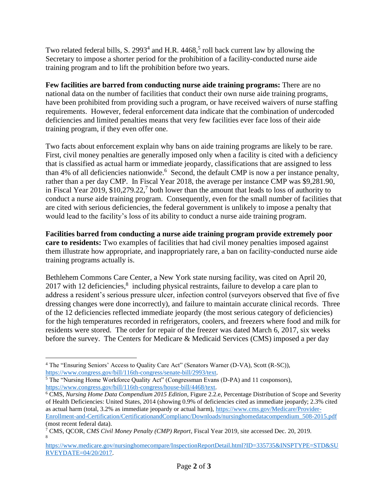Two related federal bills, S. 2993<sup>4</sup> and H.R. 4468,<sup>5</sup> roll back current law by allowing the Secretary to impose a shorter period for the prohibition of a facility-conducted nurse aide training program and to lift the prohibition before two years.

**Few facilities are barred from conducting nurse aide training programs:** There are no national data on the number of facilities that conduct their own nurse aide training programs, have been prohibited from providing such a program, or have received waivers of nurse staffing requirements. However, federal enforcement data indicate that the combination of undercoded deficiencies and limited penalties means that very few facilities ever face loss of their aide training program, if they even offer one.

Two facts about enforcement explain why bans on aide training programs are likely to be rare. First, civil money penalties are generally imposed only when a facility is cited with a deficiency that is classified as actual harm or immediate jeopardy, classifications that are assigned to less than 4% of all deficiencies nationwide.<sup>6</sup> Second, the default CMP is now a per instance penalty, rather than a per day CMP. In Fiscal Year 2018, the average per instance CMP was \$9,281.90, in Fiscal Year 2019, \$10,279.22,<sup>7</sup> both lower than the amount that leads to loss of authority to conduct a nurse aide training program. Consequently, even for the small number of facilities that are cited with serious deficiencies, the federal government is unlikely to impose a penalty that would lead to the facility's loss of its ability to conduct a nurse aide training program.

**Facilities barred from conducting a nurse aide training program provide extremely poor care to residents:** Two examples of facilities that had civil money penalties imposed against them illustrate how appropriate, and inappropriately rare, a ban on facility-conducted nurse aide training programs actually is.

Bethlehem Commons Care Center, a New York state nursing facility, was cited on April 20, 2017 with 12 deficiencies,<sup>8</sup> including physical restraints, failure to develop a care plan to address a resident's serious pressure ulcer, infection control (surveyors observed that five of five dressing changes were done incorrectly), and failure to maintain accurate clinical records. Three of the 12 deficiencies reflected immediate jeopardy (the most serious category of deficiencies) for the high temperatures recorded in refrigerators, coolers, and freezers where food and milk for residents were stored. The order for repair of the freezer was dated March 6, 2017, six weeks before the survey. The Centers for Medicare & Medicaid Services (CMS) imposed a per day

 $\overline{a}$ 

<sup>&</sup>lt;sup>4</sup> The "Ensuring Seniors' Access to Quality Care Act" (Senators Warner (D-VA), Scott (R-SC)), [https://www.congress.gov/bill/116th-congress/senate-bill/2993/text.](https://www.congress.gov/bill/116th-congress/senate-bill/2993/text) 

<sup>5</sup> The "Nursing Home Workforce Quality Act" (Congressman Evans (D-PA) and 11 cosponsors), [https://www.congress.gov/bill/116th-congress/house-bill/4468/text.](https://www.congress.gov/bill/116th-congress/house-bill/4468/text)

<sup>6</sup> CMS, *Nursing Home Data Compendium 2015 Edition*, Figure 2.2.e, Percentage Distribution of Scope and Severity of Health Deficiencies: United States, 2014 (showing 0.9% of deficiencies cited as immediate jeopardy; 2.3% cited as actual harm (total, 3.2% as immediate jeopardy or actual harm), [https://www.cms.gov/Medicare/Provider-](https://www.cms.gov/Medicare/Provider-Enrollment-and-Certification/CertificationandComplianc/Downloads/nursinghomedatacompendium_508-2015.pdf)[Enrollment-and-Certification/CertificationandComplianc/Downloads/nursinghomedatacompendium\\_508-2015.pdf](https://www.cms.gov/Medicare/Provider-Enrollment-and-Certification/CertificationandComplianc/Downloads/nursinghomedatacompendium_508-2015.pdf) (most recent federal data).

<sup>7</sup> CMS, QCOR, *CMS Civil Money Penalty (CMP) Report*, Fiscal Year 2019, site accessed Dec. 20, 2019. 8

[https://www.medicare.gov/nursinghomecompare/InspectionReportDetail.html?ID=335735&INSPTYPE=STD&SU](https://www.medicare.gov/nursinghomecompare/InspectionReportDetail.html?ID=335735&INSPTYPE=STD&SURVEYDATE=04/20/2017) [RVEYDATE=04/20/2017.](https://www.medicare.gov/nursinghomecompare/InspectionReportDetail.html?ID=335735&INSPTYPE=STD&SURVEYDATE=04/20/2017)